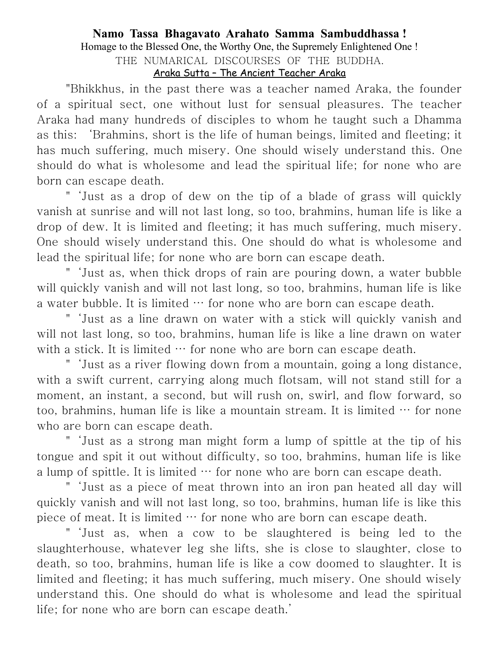## **Namo Tassa Bhagavato Arahato Samma Sambuddhassa !** Homage to the Blessed One, the Worthy One, the Supremely Enlightened One ! THE NUMARICAL DISCOURSES OF THE BUDDHA. Araka Sutta – The Ancient Teacher Araka

"Bhikkhus, in the past there was a teacher named Araka, the founder of a spiritual sect, one without lust for sensual pleasures. The teacher Araka had many hundreds of disciples to whom he taught such a Dhamma as this: 'Brahmins, short is the life of human beings, limited and fleeting; it has much suffering, much misery. One should wisely understand this. One should do what is wholesome and lead the spiritual life; for none who are born can escape death.

"'Just as a drop of dew on the tip of a blade of grass will quickly vanish at sunrise and will not last long, so too, brahmins, human life is like a drop of dew. It is limited and fleeting; it has much suffering, much misery. One should wisely understand this. One should do what is wholesome and lead the spiritual life; for none who are born can escape death.

"'Just as, when thick drops of rain are pouring down, a water bubble will quickly vanish and will not last long, so too, brahmins, human life is like a water bubble. It is limited … for none who are born can escape death.

"'Just as a line drawn on water with a stick will quickly vanish and will not last long, so too, brahmins, human life is like a line drawn on water with a stick. It is limited  $\cdots$  for none who are born can escape death.

"'Just as a river flowing down from a mountain, going a long distance, with a swift current, carrying along much flotsam, will not stand still for a moment, an instant, a second, but will rush on, swirl, and flow forward, so too, brahmins, human life is like a mountain stream. It is limited  $\cdots$  for none who are born can escape death.

"'Just as a strong man might form a lump of spittle at the tip of his tongue and spit it out without difficulty, so too, brahmins, human life is like a lump of spittle. It is limited … for none who are born can escape death.

"'Just as a piece of meat thrown into an iron pan heated all day will quickly vanish and will not last long, so too, brahmins, human life is like this piece of meat. It is limited … for none who are born can escape death.

"'Just as, when a cow to be slaughtered is being led to the slaughterhouse, whatever leg she lifts, she is close to slaughter, close to death, so too, brahmins, human life is like a cow doomed to slaughter. It is limited and fleeting; it has much suffering, much misery. One should wisely understand this. One should do what is wholesome and lead the spiritual life; for none who are born can escape death.'